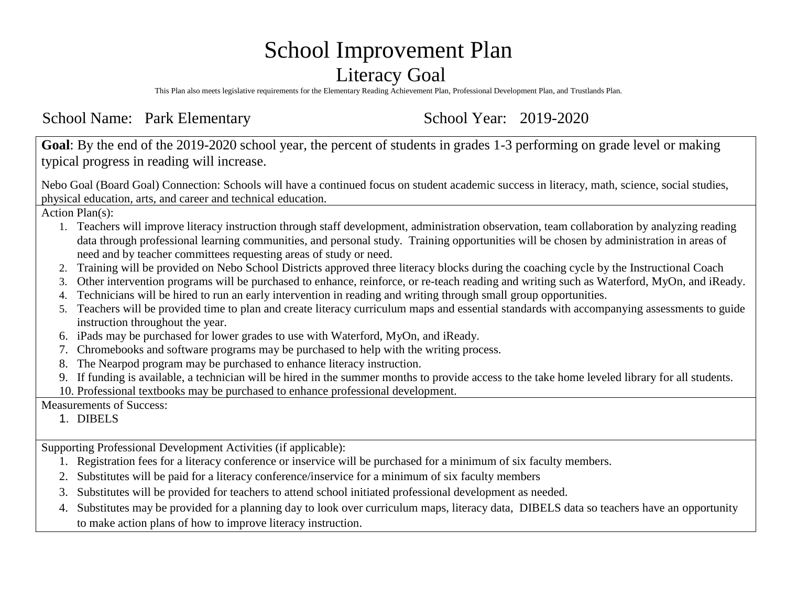# School Improvement Plan

### Literacy Goal

This Plan also meets legislative requirements for the Elementary Reading Achievement Plan, Professional Development Plan, and Trustlands Plan.

School Name: Park Elementary School Year: 2019-2020

**Goal**: By the end of the 2019-2020 school year, the percent of students in grades 1-3 performing on grade level or making typical progress in reading will increase.

Nebo Goal (Board Goal) Connection: Schools will have a continued focus on student academic success in literacy, math, science, social studies, physical education, arts, and career and technical education.

Action Plan(s):

- 1. Teachers will improve literacy instruction through staff development, administration observation, team collaboration by analyzing reading data through professional learning communities, and personal study. Training opportunities will be chosen by administration in areas of need and by teacher committees requesting areas of study or need.
- 2. Training will be provided on Nebo School Districts approved three literacy blocks during the coaching cycle by the Instructional Coach
- 3. Other intervention programs will be purchased to enhance, reinforce, or re-teach reading and writing such as Waterford, MyOn, and iReady.
- 4. Technicians will be hired to run an early intervention in reading and writing through small group opportunities.
- 5. Teachers will be provided time to plan and create literacy curriculum maps and essential standards with accompanying assessments to guide instruction throughout the year.
- 6. iPads may be purchased for lower grades to use with Waterford, MyOn, and iReady.
- 7. Chromebooks and software programs may be purchased to help with the writing process.
- 8. The Nearpod program may be purchased to enhance literacy instruction.
- 9. If funding is available, a technician will be hired in the summer months to provide access to the take home leveled library for all students.
- 10. Professional textbooks may be purchased to enhance professional development.

Measurements of Success:

1. DIBELS

Supporting Professional Development Activities (if applicable):

- 1. Registration fees for a literacy conference or inservice will be purchased for a minimum of six faculty members.
- 2. Substitutes will be paid for a literacy conference/inservice for a minimum of six faculty members
- 3. Substitutes will be provided for teachers to attend school initiated professional development as needed.
- 4. Substitutes may be provided for a planning day to look over curriculum maps, literacy data, DIBELS data so teachers have an opportunity to make action plans of how to improve literacy instruction.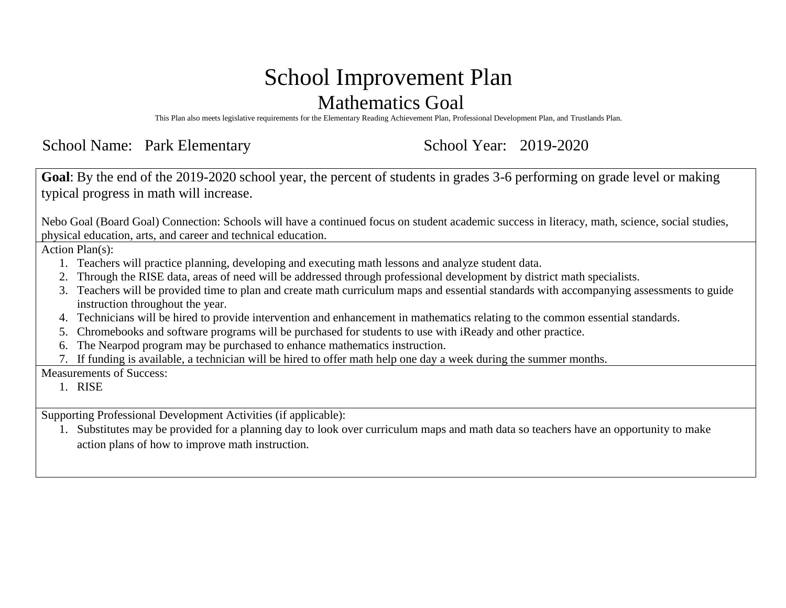# School Improvement Plan Mathematics Goal

This Plan also meets legislative requirements for the Elementary Reading Achievement Plan, Professional Development Plan, and Trustlands Plan.

School Name: Park Elementary School Year: 2019-2020

**Goal**: By the end of the 2019-2020 school year, the percent of students in grades 3-6 performing on grade level or making typical progress in math will increase.

Nebo Goal (Board Goal) Connection: Schools will have a continued focus on student academic success in literacy, math, science, social studies, physical education, arts, and career and technical education.

Action Plan(s):

- 1. Teachers will practice planning, developing and executing math lessons and analyze student data.
- 2. Through the RISE data, areas of need will be addressed through professional development by district math specialists.
- 3. Teachers will be provided time to plan and create math curriculum maps and essential standards with accompanying assessments to guide instruction throughout the year.
- 4. Technicians will be hired to provide intervention and enhancement in mathematics relating to the common essential standards.
- 5. Chromebooks and software programs will be purchased for students to use with iReady and other practice.
- 6. The Nearpod program may be purchased to enhance mathematics instruction.
- 7. If funding is available, a technician will be hired to offer math help one day a week during the summer months.

Measurements of Success:

1. RISE

Supporting Professional Development Activities (if applicable):

1. Substitutes may be provided for a planning day to look over curriculum maps and math data so teachers have an opportunity to make action plans of how to improve math instruction.